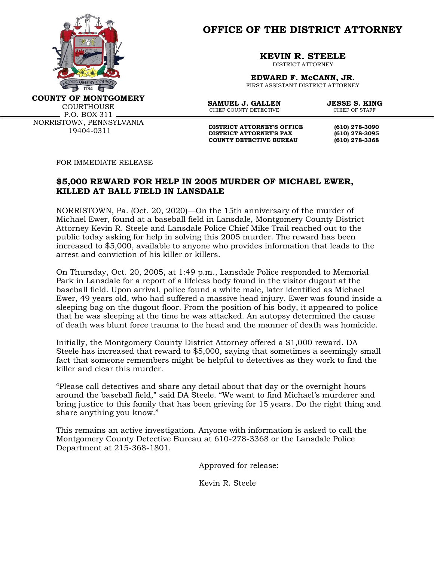

**OFFICE OF THE DISTRICT ATTORNEY**

**KEVIN R. STEELE**

DISTRICT ATTORNEY

**EDWARD F. McCANN, JR.** FIRST ASSISTANT DISTRICT ATTORNEY

**COUNTY OF MONTGOMERY**

**COURTHOUSE**  $P.$ O. BOX 311  $\blacksquare$ NORRISTOWN, PENNSYLVANIA 19404-0311

**SAMUEL J. GALLEN JESSE S. KING**<br>CHIER COUNTY DETECTIVE CHIER OF STAFF CHIEF COUNTY DETECTIVE

**DISTRICT ATTORNEY'S OFFICE** (610) 278-3090<br>DISTRICT ATTORNEY'S FAX (610) 278-3095 **DISTRICT ATTORNEY'S FAX (610) 278-3095 COUNTY DETECTIVE BUREAU (610) 278-3368**

FOR IMMEDIATE RELEASE

## **\$5,000 REWARD FOR HELP IN 2005 MURDER OF MICHAEL EWER, KILLED AT BALL FIELD IN LANSDALE**

NORRISTOWN, Pa. (Oct. 20, 2020)—On the 15th anniversary of the murder of Michael Ewer, found at a baseball field in Lansdale, Montgomery County District Attorney Kevin R. Steele and Lansdale Police Chief Mike Trail reached out to the public today asking for help in solving this 2005 murder. The reward has been increased to \$5,000, available to anyone who provides information that leads to the arrest and conviction of his killer or killers.

On Thursday, Oct. 20, 2005, at 1:49 p.m., Lansdale Police responded to Memorial Park in Lansdale for a report of a lifeless body found in the visitor dugout at the baseball field. Upon arrival, police found a white male, later identified as Michael Ewer, 49 years old, who had suffered a massive head injury. Ewer was found inside a sleeping bag on the dugout floor. From the position of his body, it appeared to police that he was sleeping at the time he was attacked. An autopsy determined the cause of death was blunt force trauma to the head and the manner of death was homicide.

Initially, the Montgomery County District Attorney offered a \$1,000 reward. DA Steele has increased that reward to \$5,000, saying that sometimes a seemingly small fact that someone remembers might be helpful to detectives as they work to find the killer and clear this murder.

"Please call detectives and share any detail about that day or the overnight hours around the baseball field," said DA Steele. "We want to find Michael's murderer and bring justice to this family that has been grieving for 15 years. Do the right thing and share anything you know."

This remains an active investigation. Anyone with information is asked to call the Montgomery County Detective Bureau at 610-278-3368 or the Lansdale Police Department at 215-368-1801.

Approved for release:

Kevin R. Steele